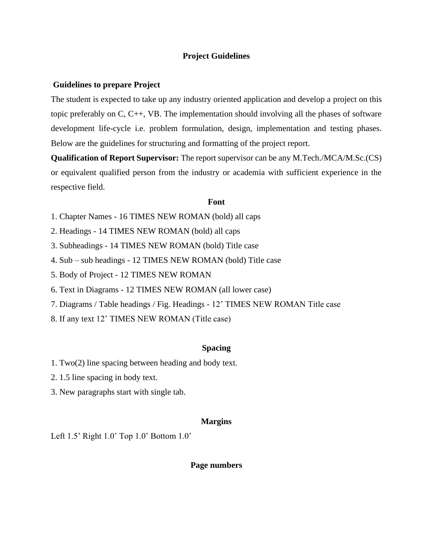## **Project Guidelines**

#### **Guidelines to prepare Project**

The student is expected to take up any industry oriented application and develop a project on this topic preferably on C, C++, VB. The implementation should involving all the phases of software development life-cycle i.e. problem formulation, design, implementation and testing phases. Below are the guidelines for structuring and formatting of the project report.

**Qualification of Report Supervisor:** The report supervisor can be any M.Tech./MCA/M.Sc.(CS) or equivalent qualified person from the industry or academia with sufficient experience in the respective field.

#### **Font**

- 1. Chapter Names 16 TIMES NEW ROMAN (bold) all caps
- 2. Headings 14 TIMES NEW ROMAN (bold) all caps
- 3. Subheadings 14 TIMES NEW ROMAN (bold) Title case
- 4. Sub sub headings 12 TIMES NEW ROMAN (bold) Title case
- 5. Body of Project 12 TIMES NEW ROMAN
- 6. Text in Diagrams 12 TIMES NEW ROMAN (all lower case)
- 7. Diagrams / Table headings / Fig. Headings 12' TIMES NEW ROMAN Title case
- 8. If any text 12' TIMES NEW ROMAN (Title case)

### **Spacing**

- 1. Two(2) line spacing between heading and body text.
- 2. 1.5 line spacing in body text.
- 3. New paragraphs start with single tab.

#### **Margins**

Left 1.5' Right 1.0' Top 1.0' Bottom 1.0'

### **Page numbers**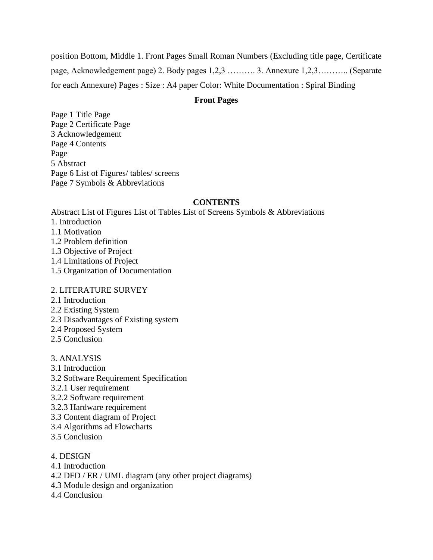position Bottom, Middle 1. Front Pages Small Roman Numbers (Excluding title page, Certificate page, Acknowledgement page) 2. Body pages 1,2,3 ………. 3. Annexure 1,2,3……….. (Separate for each Annexure) Pages : Size : A4 paper Color: White Documentation : Spiral Binding

## **Front Pages**

Page 1 Title Page Page 2 Certificate Page 3 Acknowledgement Page 4 Contents Page 5 Abstract Page 6 List of Figures/ tables/ screens Page 7 Symbols & Abbreviations

# **CONTENTS**

Abstract List of Figures List of Tables List of Screens Symbols & Abbreviations

- 1. Introduction
- 1.1 Motivation
- 1.2 Problem definition
- 1.3 Objective of Project
- 1.4 Limitations of Project
- 1.5 Organization of Documentation

## 2. LITERATURE SURVEY

- 2.1 Introduction
- 2.2 Existing System
- 2.3 Disadvantages of Existing system
- 2.4 Proposed System
- 2.5 Conclusion
- 3. ANALYSIS
- 3.1 Introduction
- 3.2 Software Requirement Specification
- 3.2.1 User requirement
- 3.2.2 Software requirement
- 3.2.3 Hardware requirement
- 3.3 Content diagram of Project
- 3.4 Algorithms ad Flowcharts
- 3.5 Conclusion
- 4. DESIGN
- 4.1 Introduction
- 4.2 DFD / ER / UML diagram (any other project diagrams)
- 4.3 Module design and organization
- 4.4 Conclusion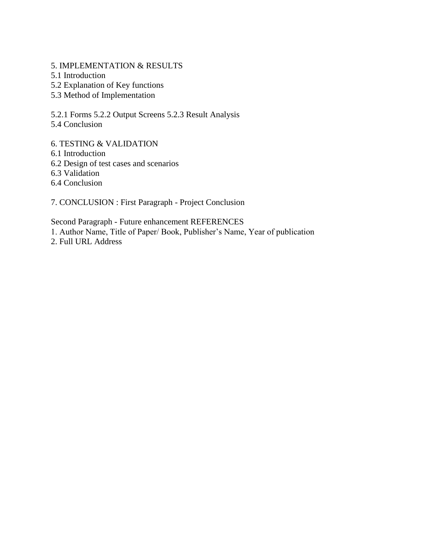5. IMPLEMENTATION & RESULTS

- 5.1 Introduction
- 5.2 Explanation of Key functions
- 5.3 Method of Implementation

5.2.1 Forms 5.2.2 Output Screens 5.2.3 Result Analysis

5.4 Conclusion

6. TESTING & VALIDATION

6.1 Introduction

6.2 Design of test cases and scenarios

6.3 Validation

6.4 Conclusion

7. CONCLUSION : First Paragraph - Project Conclusion

Second Paragraph - Future enhancement REFERENCES

1. Author Name, Title of Paper/ Book, Publisher's Name, Year of publication

2. Full URL Address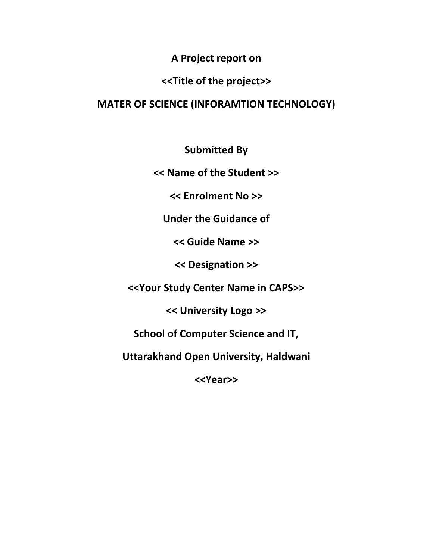**A Project report on**

# **<<Title of the project>>**

# **MATER OF SCIENCE (INFORAMTION TECHNOLOGY)**

**Submitted By**

**<< Name of the Student >>**

**<< Enrolment No >>**

**Under the Guidance of**

**<< Guide Name >>**

**<< Designation >>**

**<<Your Study Center Name in CAPS>>**

**<< University Logo >>**

**School of Computer Science and IT,**

**Uttarakhand Open University, Haldwani**

**<<Year>>**